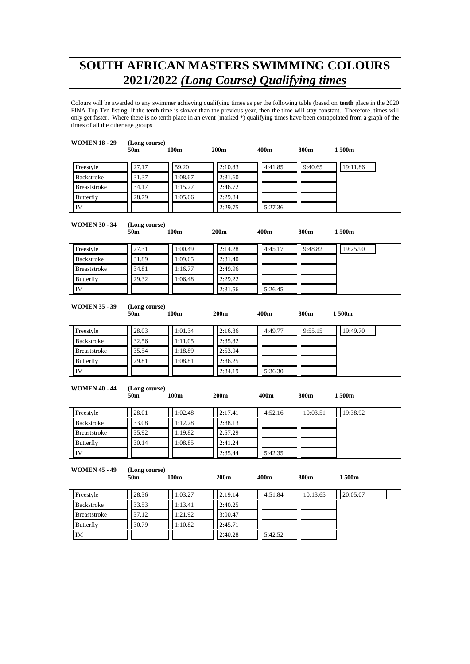## **SOUTH AFRICAN MASTERS SWIMMING COLOURS 2021/2022** *(Long Course) Qualifying times*

Colours will be awarded to any swimmer achieving qualifying times as per the following table (based on **tenth** place in the 2020 FINA Top Ten listing. If the tenth time is slower than the previous year, then the time will stay constant. Therefore, times will only get faster. Where there is no tenth place in an event (marked \*) qualifying times have been extrapolated from a graph of the times of all the other age groups

| <b>WOMEN 18 - 29</b> | (Long course)<br>50m             | 100m             | 200 <sub>m</sub> | 400m    | 800m     | 1500m    |  |
|----------------------|----------------------------------|------------------|------------------|---------|----------|----------|--|
| Freestyle            | 27.17                            | 59.20            | 2:10.83          | 4:41.85 | 9:40.65  | 19:11.86 |  |
| Backstroke           | 31.37                            | 1:08.67          | 2:31.60          |         |          |          |  |
| Breaststroke         | 34.17                            | 1:15.27          | 2:46.72          |         |          |          |  |
| <b>Butterfly</b>     | 28.79                            | 1:05.66          | 2:29.84          |         |          |          |  |
| IM                   |                                  |                  | 2:29.75          | 5:27.36 |          |          |  |
| <b>WOMEN 30 - 34</b> | (Long course)<br>50 <sub>m</sub> | 100m             | 200m             | 400m    | 800m     | 1500m    |  |
| Freestyle            | 27.31                            | 1:00.49          | 2:14.28          | 4:45.17 | 9:48.82  | 19:25.90 |  |
| Backstroke           | 31.89                            | 1:09.65          | 2:31.40          |         |          |          |  |
| Breaststroke         | 34.81                            | 1:16.77          | 2:49.96          |         |          |          |  |
| Butterfly            | 29.32                            | 1:06.48          | 2:29.22          |         |          |          |  |
| <b>IM</b>            |                                  |                  | 2:31.56          | 5:26.45 |          |          |  |
| <b>WOMEN 35 - 39</b> | (Long course)<br>50m             | 100m             | 200 <sub>m</sub> | 400m    | 800m     | 1500m    |  |
| Freestyle            | 28.03                            | 1:01.34          | 2:16.36          | 4:49.77 | 9:55.15  | 19:49.70 |  |
| <b>Backstroke</b>    | 32.56                            | 1:11.05          | 2:35.82          |         |          |          |  |
| <b>Breaststroke</b>  | 35.54                            | 1:18.89          | 2:53.94          |         |          |          |  |
| <b>Butterfly</b>     | 29.81                            | 1:08.81          | 2:36.25          |         |          |          |  |
| IM                   |                                  |                  | 2:34.19          | 5:36.30 |          |          |  |
| <b>WOMEN 40 - 44</b> | (Long course)<br>50m             | 100 <sub>m</sub> | 200 <sub>m</sub> | 400m    | 800m     | 1500m    |  |
| Freestyle            | 28.01                            | 1:02.48          | 2:17.41          | 4:52.16 | 10:03.51 | 19:38.92 |  |
| Backstroke           | 33.08                            | 1:12.28          | 2:38.13          |         |          |          |  |
| Breaststroke         | 35.92                            | 1:19.82          | 2:57.29          |         |          |          |  |
| <b>Butterfly</b>     | 30.14                            | 1:08.85          | 2:41.24          |         |          |          |  |
| <b>IM</b>            |                                  |                  | 2:35.44          | 5:42.35 |          |          |  |
| <b>WOMEN 45 - 49</b> | (Long course)<br>50m             | 100m             | 200 <sub>m</sub> | 400m    | 800m     | 1500m    |  |
| Freestyle            | 28.36                            | 1:03.27          | 2:19.14          | 4:51.84 | 10:13.65 | 20:05.07 |  |
| Backstroke           | 33.53                            | 1:13.41          | 2:40.25          |         |          |          |  |
| <b>Breaststroke</b>  | 37.12                            | 1:21.92          | 3:00.47          |         |          |          |  |
| Butterfly            | 30.79                            | 1:10.82          | 2:45.71          |         |          |          |  |
| IM                   |                                  |                  | 2:40.28          | 5:42.52 |          |          |  |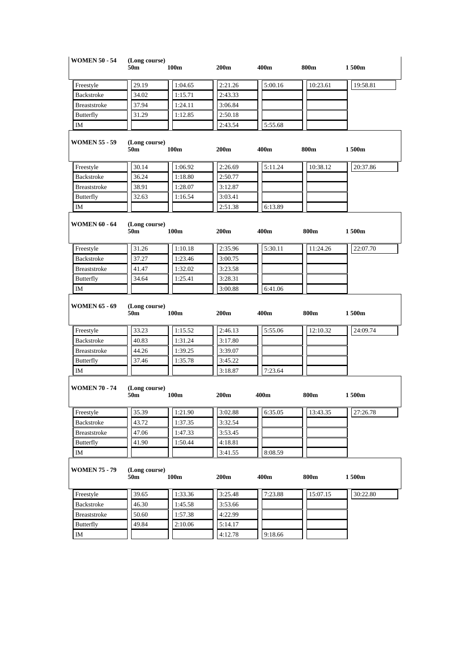| <b>WOMEN 50 - 54</b> | (Long course)<br>50 <sub>m</sub> | 100m             | 200m    | 400m    | 800m     | 1500m    |
|----------------------|----------------------------------|------------------|---------|---------|----------|----------|
| Freestyle            | 29.19                            | 1:04.65          | 2:21.26 | 5:00.16 | 10:23.61 | 19:58.81 |
| <b>Backstroke</b>    | 34.02                            | 1:15.71          | 2:43.33 |         |          |          |
| <b>Breaststroke</b>  | 37.94                            | 1:24.11          | 3:06.84 |         |          |          |
| <b>Butterfly</b>     | 31.29                            | 1:12.85          | 2:50.18 |         |          |          |
| IM                   |                                  |                  | 2:43.54 | 5:55.68 |          |          |
| <b>WOMEN 55 - 59</b> | (Long course)<br>50 <sub>m</sub> | 100m             | 200m    | 400m    | 800m     | 1500m    |
| Freestyle            | 30.14                            | 1:06.92          | 2:26.69 | 5:11.24 | 10:38.12 | 20:37.86 |
| <b>Backstroke</b>    | 36.24                            | 1:18.80          | 2:50.77 |         |          |          |
| <b>Breaststroke</b>  | 38.91                            | 1:28.07          | 3:12.87 |         |          |          |
| Butterfly            | 32.63                            | 1:16.54          | 3:03.41 |         |          |          |
| IM                   |                                  |                  | 2:51.38 | 6:13.89 |          |          |
| <b>WOMEN 60 - 64</b> | (Long course)<br>50m             | 100m             | 200m    | 400m    | 800m     | 1500m    |
| Freestyle            | 31.26                            | 1:10.18          | 2:35.96 | 5:30.11 | 11:24.26 | 22:07.70 |
| Backstroke           | 37.27                            | 1:23.46          | 3:00.75 |         |          |          |
| <b>Breaststroke</b>  | 41.47                            | 1:32.02          | 3:23.58 |         |          |          |
| <b>Butterfly</b>     | 34.64                            | 1:25.41          | 3:28.31 |         |          |          |
| ΙM                   |                                  |                  | 3:00.88 | 6:41.06 |          |          |
| <b>WOMEN 65 - 69</b> | (Long course)<br>50m             | 100 <sub>m</sub> | 200m    | 400m    | 800m     | 1500m    |
| Freestyle            | 33.23                            | 1:15.52          | 2:46.13 | 5:55.06 | 12:10.32 | 24:09.74 |
| Backstroke           | 40.83                            | 1:31.24          | 3:17.80 |         |          |          |
| <b>Breaststroke</b>  | 44.26                            | 1:39.25          | 3:39.07 |         |          |          |
| Butterfly            | 37.46                            | 1:35.78          | 3:45.22 |         |          |          |
| IM                   |                                  |                  | 3:18.87 | 7:23.64 |          |          |
| <b>WOMEN 70 - 74</b> | (Long course)<br>50m             | 100m             | 200m    | 400m    | 800m     | 1500m    |
| Freestyle            | 35.39                            | 1:21.90          | 3:02.88 | 6:35.05 | 13:43.35 | 27:26.78 |
| <b>Backstroke</b>    | 43.72                            | 1:37.35          | 3:32.54 |         |          |          |
| <b>Breaststroke</b>  | 47.06                            | 1:47.33          | 3:53.45 |         |          |          |
| Butterfly            | 41.90                            | 1:50.44          | 4:18.81 |         |          |          |
| IΜ                   |                                  |                  | 3:41.55 | 8:08.59 |          |          |
| <b>WOMEN 75 - 79</b> | (Long course)<br>50 <sub>m</sub> | 100m             | 200m    | 400m    | 800m     | 1500m    |
| Freestyle            | 39.65                            | 1:33.36          | 3:25.48 | 7:23.88 | 15:07.15 | 30:22.80 |
| Backstroke           | 46.30                            | 1:45.58          | 3:53.66 |         |          |          |
| Breaststroke         | 50.60                            | 1:57.38          | 4:22.99 |         |          |          |
| <b>Butterfly</b>     | 49.84                            | 2:10.06          | 5:14.17 |         |          |          |
| IΜ                   |                                  |                  | 4:12.78 | 9:18.66 |          |          |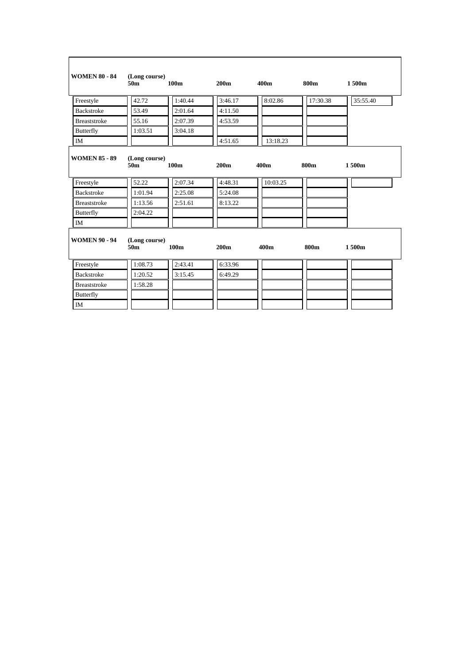| <b>WOMEN 80 - 84</b> | (Long course)<br>50m             | 100 <sub>m</sub> | 200 <sub>m</sub> | 400m     | 800m        | 1500m    |
|----------------------|----------------------------------|------------------|------------------|----------|-------------|----------|
| Freestyle            | 42.72                            | 1:40.44          | 3:46.17          | 8:02.86  | 17:30.38    | 35:55.40 |
| <b>Backstroke</b>    | 53.49                            | 2:01.64          | 4:11.50          |          |             |          |
| <b>Breaststroke</b>  | 55.16                            | 2:07.39          | 4:53.59          |          |             |          |
| Butterfly            | 1:03.51                          | 3:04.18          |                  |          |             |          |
| IM                   |                                  |                  | 4:51.65          | 13:18.23 |             |          |
| <b>WOMEN 85 - 89</b> | (Long course)<br>50 <sub>m</sub> | 100 <sub>m</sub> | 200 <sub>m</sub> | 400m     | <b>800m</b> | 1500m    |
| Freestyle            | 52.22                            | 2:07.34          | 4:48.31          | 10:03.25 |             |          |
| <b>Backstroke</b>    | 1:01.94                          | 2:25.08          | 5:24.08          |          |             |          |
| <b>Breaststroke</b>  | 1:13.56                          | 2:51.61          | 8:13.22          |          |             |          |
| Butterfly            | 2:04.22                          |                  |                  |          |             |          |
| <b>IM</b>            |                                  |                  |                  |          |             |          |
| <b>WOMEN 90 - 94</b> | (Long course)<br>50m             | 100 <sub>m</sub> | 200 <sub>m</sub> | 400m     | 800m        | 1500m    |
| Freestyle            | 1:08.73                          | 2:43.41          | 6:33.96          |          |             |          |
| <b>Backstroke</b>    | 1:20.52                          | 3:15.45          | 6:49.29          |          |             |          |
| <b>Breaststroke</b>  | 1:58.28                          |                  |                  |          |             |          |
| Butterfly            |                                  |                  |                  |          |             |          |
| <b>IM</b>            |                                  |                  |                  |          |             |          |

 $\mathsf{r}$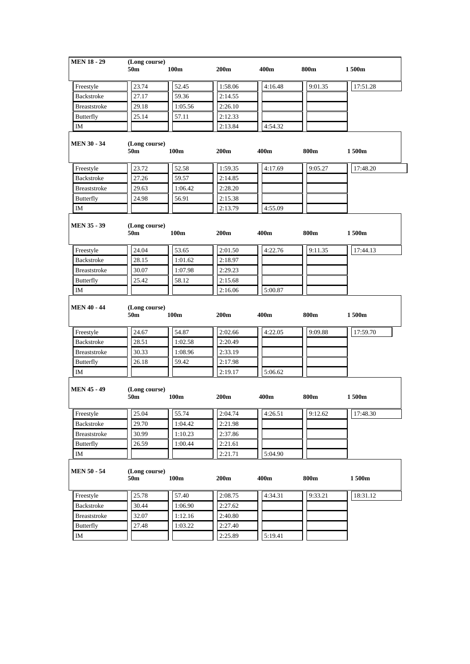|                                                                          | (Long course)<br>50m | 100 <sub>m</sub> | 200 <sub>m</sub> | 400m             | 800m    | 1500m    |
|--------------------------------------------------------------------------|----------------------|------------------|------------------|------------------|---------|----------|
| Freestyle                                                                | 23.74                | 52.45            | 1:58.06          | 4:16.48          | 9:01.35 | 17:51.28 |
| Backstroke                                                               | 27.17                | 59.36            | 2:14.55          |                  |         |          |
| <b>Breaststroke</b>                                                      | 29.18                | 1:05.56          | 2:26.10          |                  |         |          |
| <b>Butterfly</b>                                                         | 25.14                | 57.11            | 2:12.33          |                  |         |          |
| IM                                                                       |                      |                  | 2:13.84          | 4:54.32          |         |          |
| <b>MEN 30 - 34</b>                                                       | (Long course)<br>50m | 100m             | 200 <sub>m</sub> | 400m             | 800m    | 1500m    |
| Freestyle                                                                | 23.72                | 52.58            | 1:59.35          | 4:17.69          | 9:05.27 | 17:48.20 |
| Backstroke                                                               | 27.26                | 59.57            | 2:14.85          |                  |         |          |
| <b>Breaststroke</b>                                                      | 29.63                | 1:06.42          | 2:28.20          |                  |         |          |
| Butterfly                                                                | 24.98                | 56.91            | 2:15.38          |                  |         |          |
| IM                                                                       |                      |                  | 2:13.79          | 4:55.09          |         |          |
| <b>MEN 35 - 39</b>                                                       | (Long course)<br>50m | 100m             | 200 <sub>m</sub> | 400 <sub>m</sub> | 800m    | 1500m    |
| Freestyle                                                                | 24.04                | 53.65            | 2:01.50          | 4:22.76          | 9:11.35 | 17:44.13 |
| Backstroke                                                               | 28.15                | 1:01.62          | 2:18.97          |                  |         |          |
| <b>Breaststroke</b>                                                      | 30.07                | 1:07.98          | 2:29.23          |                  |         |          |
|                                                                          | 25.42                | 58.12            | 2:15.68          |                  |         |          |
| Butterfly<br>IM                                                          |                      |                  | 2:16.06          | 5:00.87          |         |          |
|                                                                          | (Long course)<br>50m | 100 <sub>m</sub> | 200 <sub>m</sub> | 400m             | 800m    | 1 500m   |
|                                                                          | 24.67                | 54.87            | 2:02.66          | 4:22.05          | 9:09.88 | 17:59.70 |
| Backstroke                                                               | 28.51                | 1:02.58          | 2:20.49          |                  |         |          |
| <b>Breaststroke</b>                                                      | 30.33                | 1:08.96          | 2:33.19          |                  |         |          |
|                                                                          | 26.18                | 59.42            | 2:17.98          |                  |         |          |
|                                                                          |                      |                  | 2:19.17          | 5:06.62          |         |          |
| <b>MEN 40 - 44</b><br>Freestyle<br>Butterfly<br>IM<br><b>MEN 45 - 49</b> | (Long course)<br>50m | 100m             | 200m             | 400 <sub>m</sub> | 800m    | 1500m    |
| Freestyle                                                                | 25.04                | 55.74            | 2:04.74          | 4:26.51          | 9:12.62 | 17:48.30 |
|                                                                          | 29.70                | 1:04.42          | 2:21.98          |                  |         |          |
| <b>Breaststroke</b>                                                      | 30.99                | 1:10.23          | 2:37.86          |                  |         |          |
| <b>Backstroke</b><br>Butterfly                                           | 26.59                | 1:00.44          | 2:21.61          |                  |         |          |
|                                                                          |                      |                  | 2:21.71          | 5:04.90          |         |          |
| IM                                                                       | (Long course)<br>50m | 100m             | 200m             | 400m             | 800m    | 1500m    |
| <b>MEN 50 - 54</b><br>Freestyle                                          | 25.78                | 57.40            | 2:08.75          | 4:34.31          | 9:33.21 | 18:31.12 |
| Backstroke                                                               | 30.44                | 1:06.90          | 2:27.62          |                  |         |          |
| <b>Breaststroke</b>                                                      | 32.07                | 1:12.16          | 2:40.80          |                  |         |          |
| Butterfly                                                                | 27.48                | 1:03.22          | 2:27.40          |                  |         |          |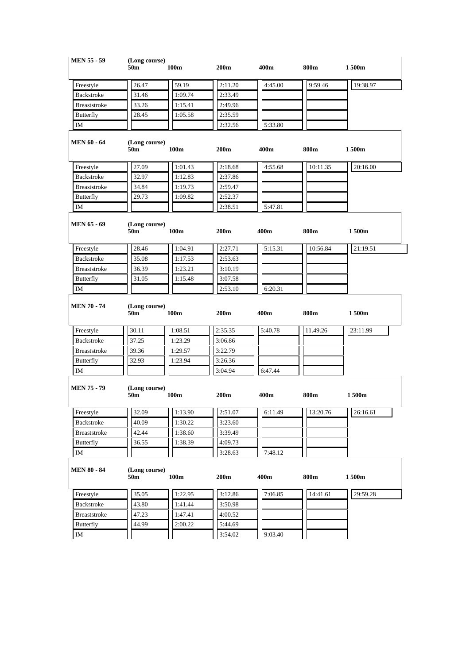| <b>MEN 55 - 59</b>               | (Long course)<br>50m             | 100m    | 200 <sub>m</sub> | 400m            | 800m     | 1500m    |
|----------------------------------|----------------------------------|---------|------------------|-----------------|----------|----------|
| Freestyle                        | 26.47                            | 59.19   | 2:11.20          | 4:45.00         | 9:59.46  | 19:38.97 |
| Backstroke                       | 31.46                            | 1:09.74 | 2:33.49          |                 |          |          |
| <b>Breaststroke</b>              | 33.26                            | 1:15.41 | 2:49.96          |                 |          |          |
| <b>Butterfly</b>                 | 28.45                            | 1:05.58 | 2:35.59          |                 |          |          |
| IM                               |                                  |         | 2:32.56          | 5:33.80         |          |          |
| <b>MEN 60 - 64</b>               | (Long course)<br>50 <sub>m</sub> | 100m    | 200m             | 400m            | 800m     | 1500m    |
| Freestyle                        | 27.09                            | 1:01.43 | 2:18.68          | 4:55.68         | 10:11.35 | 20:16.00 |
| Backstroke                       | 32.97                            | 1:12.83 | 2:37.86          |                 |          |          |
| Breaststroke                     | 34.84                            | 1:19.73 | 2:59.47          |                 |          |          |
| Butterfly                        | 29.73                            | 1:09.82 | 2:52.37          |                 |          |          |
| IM                               |                                  |         | 2:38.51          | 5:47.81         |          |          |
| <b>MEN 65 - 69</b>               | (Long course)<br>50m             | 100m    | 200m             | 400m            | 800m     | 1500m    |
| Freestyle                        | 28.46                            | 1:04.91 | 2:27.71          | 5:15.31         | 10:56.84 | 21:19.51 |
| Backstroke                       | 35.08                            | 1:17.53 | 2:53.63          |                 |          |          |
| <b>Breaststroke</b>              | 36.39                            | 1:23.21 | 3:10.19          |                 |          |          |
| <b>Butterfly</b>                 | 31.05                            | 1:15.48 | 3:07.58          |                 |          |          |
| IM                               |                                  |         | 2:53.10          | 6:20.31         |          |          |
| <b>MEN 70 - 74</b>               | (Long course)<br>50m             | 100m    | 200m             | 400m            | 800m     | 1500m    |
| Freestyle                        | 30.11                            | 1:08.51 | 2:35.35          | 5:40.78         | 11.49.26 | 23:11.99 |
| Backstroke                       | 37.25                            | 1:23.29 | 3:06.86          |                 |          |          |
|                                  |                                  |         |                  |                 |          |          |
| <b>Breaststroke</b>              | 39.36                            | 1:29.57 | 3:22.79          |                 |          |          |
| Butterfly                        | 32.93                            | 1:23.94 | 3:26.36          |                 |          |          |
| IM<br><b>MEN 75 - 79</b>         | (Long course)<br>50m             | 100m    | 3:04.94<br>200m  | 6:47.44<br>400m | 800m     | 1500m    |
| Freestyle                        | 32.09                            | 1:13.90 | 2:51.07          | 6:11.49         | 13:20.76 | 26:16.61 |
| Backstroke                       | 40.09                            | 1:30.22 | 3:23.60          |                 |          |          |
| Breaststroke                     | 42.44                            | 1:38.60 | 3:39.49          |                 |          |          |
| Butterfly                        | 36.55                            | 1:38.39 | 4:09.73          |                 |          |          |
| IM                               |                                  |         | 3:28.63          | 7:48.12         |          |          |
|                                  | (Long course)<br>50m             | 100m    | 200m             | 400m            | 800m     | 1500m    |
| Freestyle                        | 35.05                            | 1:22.95 | 3:12.86          | 7:06.85         | 14:41.61 | 29:59.28 |
| <b>MEN 80 - 84</b><br>Backstroke | 43.80                            | 1:41.44 | 3:50.98          |                 |          |          |
| Breaststroke                     | 47.23                            | 1:47.41 | 4:00.52          |                 |          |          |
| Butterfly                        | 44.99                            | 2:00.22 | 5:44.69          |                 |          |          |